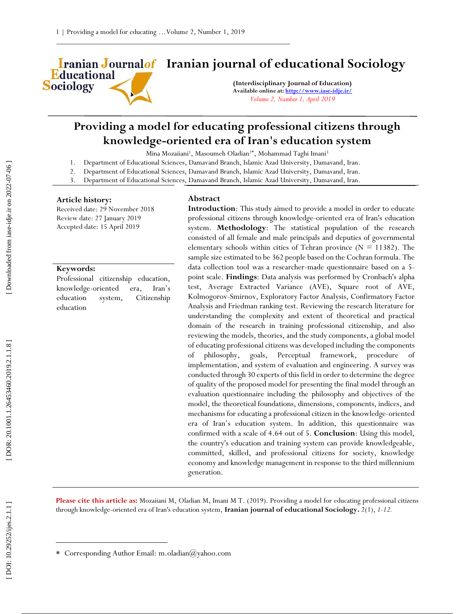Educational **Sociology** 

# **Iranian Journalof** Iranian journal of educational Sociology

**(Interdisciplinary Journal of Education) Available online at[: http://www.iase](http://www.iase-idje.ir/) -idje.ir/** *Volume 2, Number 1, April 2019*

## **Providing a model for educating professional citizens through knowledge -oriented era of Iran's education system**

Mina Mozaiiani<sup>1</sup>, Masoumeh Oladian<sup>2\*</sup>, Mohammad Taghi Imani<sup>3</sup>

- 1. Department of Educational Sciences, Damavand Branch, Islamic Azad University, Damavand, Iran.
- 2. Department of Educational Sciences, Damavand Branch, Islamic Azad University, Damavand, Iran.
- 3. Department of Educational Sciences, Damavand Branch, Islamic Azad University, Damavand, Iran.

#### **Article history:**

Received date: 29 November 2018 Review date: 27 January 2019 Accepted date: 15 April 2019

#### **Keywords:**

Professional citizenship education, knowledge -oriented era, Iran's education system, Citizenship education

#### **Abstract**

**Introduction**: This study aimed to provide a model in order to educate professional citizens through knowledge -oriented era of Iran's education system. **Methodology**: The statistical population of the research consisted of all female and male principals and deputies of governmental elementary schools within cities of Tehran province ( $N = 11382$ ). The sample size estimated to be 362 people based on the Cochran formula. The data collection tool was a researcher -made questionnaire based on a 5 point scale. **Findings**: Data analysis was performed by Cronbach's alpha test, Average Extracted Variance (AVE), Square root of AVE, Kolmogorov -Smirnov, Exploratory Factor Analysis, Confirmatory Factor Analysis and Friedman ranking test. Reviewing the research literature for understanding the complexity and extent of theoretical and practical domain of the research in training professional citizenship, and also reviewing the models, theories, and the study components, a global model of educating professional citizens was developed including the components of philosophy, goals, Perceptual framework, procedure of implementation, and system of evaluation and engineering. A survey was conducted through 30 experts of this field in order to determine the degree of quality of the proposed model for presenting the final model through an evaluation questionnaire including the philosophy and objectives of the model, the theoretical foundations, dimensions, components, indices, and mechanisms for educating a professional citizen in the knowledge -oriented era of Iran's education system. In addition, this questionnaire was confirmed with a scale of 4.64 out of 5. **Conclusion**: Using this model, the country's education and training system can provide knowledgeable, committed, skilled, and professional citizens for society, knowledge economy and knowledge management in response to the third millennium generation.

Please cite this article as: Mozaiiani M, Oladian M, Imani M T. (2019). Providing a model for educating professional citizens through knowledge-oriented era of Iran's education system, Iranian journal of educational Sociology. 2(1), *1-12*.

 $\overline{a}$ 

Corresponding Author Email: m.oladian@yahoo.com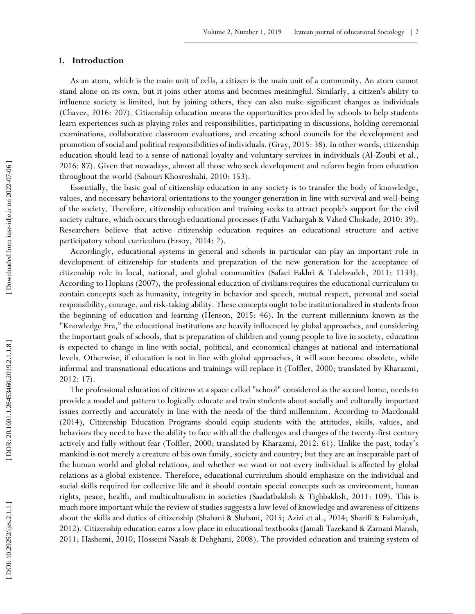## **1 . Introduction**

As an atom, which is the main unit of cells, a citizen is the main unit of a community. An atom cannot stand alone on its own, but it joins other atoms and becomes meaningful. Similarly, a citizen's ability to influence society is limited, but by joining others, they can also make significant changes as individuals (Chavez, 2016: 207). Citizenship education means the opportunities provided by schools to help students learn experiences such as playing roles and responsibilities, participating in discussions, holding ceremonial examinations, collaborative classroom evaluations, and creating school councils for the development and promotion of social and political responsibilities of individuals. (Gray, 2015: 38). In other words, citizenship education should lead to a sense of national loyalty and voluntary services in individuals (Al -Zoubi et al., 2016: 87). Given that nowadays, almost all those who seek development and reform begin from education throughout the world (Sabouri Khosroshahi, 2010: 153).

Essentially, the basic goal of citizenship education in any society is to transfer the body of knowledge, values, and necessary behavioral orientations to the younger generation in line with survival and well -being of the society. Therefore, citizenship education and training seeks to attract people's support for the civil society culture, which occurs through educational processes (Fathi Vachargah & Vahed Chokade, 2010: 39). Researchers believe that active citizenship education requires an educational structure and active participatory school curriculum (Ersoy, 2014: 2).

Accordingly, educational systems in general and schools in particular can play an important role in development of citizenship for students and preparation of the new generation for the acceptance of citizenship role in local, national, and global communities (Safaei Fakhri & Talebzadeh, 2011: 1133). According to Hopkins (2007), the professional education of civilians requires the educational curriculum to contain concepts such as humanity, integrity in behavior and speech, mutual respect, personal and social responsibility, courage, and risk -taking ability. These concepts ought to be institutionalized in students from the beginning of education and learning (Henson, 2015: 46). In the current millennium known as the "Knowledge Era," the educational institutions are heavily influenced by global approaches, and considering the important goals of schools, that is preparation of children and young people to live in society, education is expected to change in line with social, political, and economical changes at national and international levels. Otherwise, if education is not in line with global approaches, it will soon become obsolete, while informal and transnational educations and trainings will replace it (Toffler, 2000; translated by Kharazmi, 2012: 17).

The professional education of citizens at a space called "school" considered as the second home, needs to provide a model and pattern to logically educate and train students about socially and culturally important issues correctly and accurately in line with the needs of the third millennium. According to Macdonald (2014), Citizenship Education Programs should equip students with the attitudes, skills, values, and behaviors they need to have the ability to face with all the challenges and changes of the twenty -first century actively and fully without fear (Toffler, 2000; translated by Kharazmi, 2012: 61). Unlike the past, today's mankind is not merely a creature of his own family, society and country; but they are an inseparable part of the human world and global relations, and whether we want or not every individual is affected by global relations as a global existence. Therefore, educational curriculum should emphasize on the individual and social skills required for collective life and it should contain special concepts such as environment, human rights, peace, health, and multiculturalism in societies (Saadatbakhsh & Tighbakhsh, 2011: 109). This is much more important while the review of studies suggests a low level of knowledge and awareness of citizens about the skills and duties of citizenship (Shabani & Shabani, 2015; Azizi et al., 2014; Sharifi & Eslamiyah, 2012). Citizenship education earns a low place in educational textbooks (Jamali Tazekand & Zamani Mansh, 2011; Hashemi, 2010; Hosseini Nasab & Dehghani, 2008). The provided education and training system of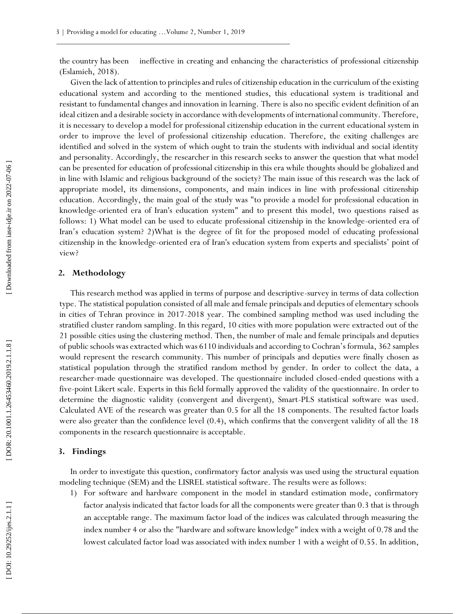the country has been ineffective in creating and enhancing the characteristics of professional citizenship (Eslamieh, 2018).

Given the lack of attention to principles and rules of citizenship education in the curriculum of the existing educational system and according to the mentioned studies, this educational system is traditional and resistant to fundamental changes and innovation in learning. There is also no specific evident definition of an ideal citizen and a desirable society in accordance with developments of international community. Therefore, it is necessary to develop a model for professional citizenship education in the current educational system in order to improve the level of professional citizenship education. Therefore, the exiting challenges are identified and solved in the system of which ought to train the students with individual and social identity and personality. Accordingly, the researcher in this research seeks to answer the question that what model can be presented for education of professional citizenship in this era while thoughts should be globalized and in line with Islamic and religious background of the society? The main issue of this research was the lack of appropriate model, its dimensions, components, and main indices in line with professional citizenship education. Accordingly, the main goal of the study was "to provide a model for professional education in knowledge -oriented era of Iran's education system" and to present this model, two questions raised as follows: 1) What model can be used to educate professional citizenship in the knowledge-oriented era of Iran's education system? 2)What is the degree of fit for the proposed model of educating professional citizenship in the knowledge -oriented era of Iran's education system from experts and specialists' point of view?

## **2. Methodology**

This research method was applied in terms of purpose and descriptive -survey in terms of data collection type. The statistical population consisted of all male and female principals and deputies of elementary schools in cities of Tehran province in 2017 -2018 year. The combined sampling method was used including the stratified cluster random sampling. In this regard, 10 cities with more population were extracted out of the 21 possible cities using the clustering method. Then, the number of male and female principals and deputies of public schools was extracted which was 6110 individuals and according to Cochran's formula, 362 samples would represent the research community. This number of principals and deputies were finally chosen as statistical population through the stratified random method by gender. In order to collect the data, a researcher -made questionnaire was developed. The questionnaire included closed -ended questions with a five -point Likert scale. Experts in this field formally approved the validity of the questionnaire. In order to determine the diagnostic validity (convergent and divergent), Smart -PLS statistical software was used. Calculated AVE of the research was greater than 0.5 for all the 18 components. The resulted factor loads were also greater than the confidence level (0.4), which confirms that the convergent validity of all the 18 components in the research questionnaire is acceptable.

## **3. Findings**

In order to investigate this question, confirmatory factor analysis was used using the structural equation modeling technique (SEM) and the LISREL statistical software. The results were as follows:<br>1) For software and hardware component in the model in standard estimation mode, confirmatory

factor analysis indicated that factor loads for all the components were greater than 0.3 that is through an acceptable range. The maximum factor load of the indices was calculated through measuring the index number 4 or also the "hardware and software knowledge" index with a weight of 0.78 and the lowest calculated factor load was associated with index number 1 with a weight of 0.55. In addition,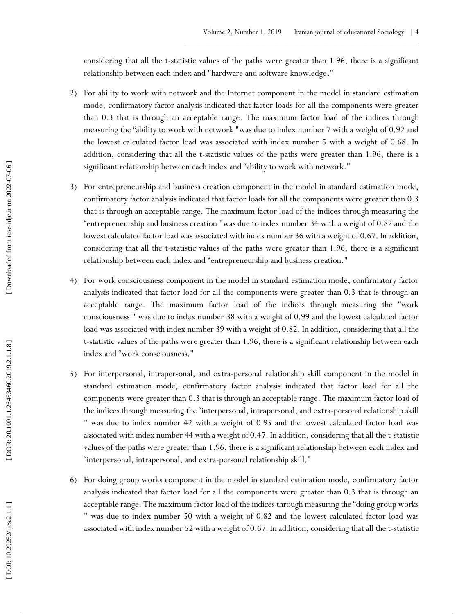considering that all the t -statistic values of the paths were greater than 1.96, there is a significant relationship between each index and "hardware and software knowledge."

- 2 ) For ability to work with network and the Internet component in the model in standard estimation mode, confirmatory factor analysis indicated that factor loads for all the components were greater than 0.3 that is through an acceptable range. The maximum factor load of the indices through measuring the "ability to work with network "was due to index number 7 with a weight of 0.92 and the lowest calculated factor load was associated with index number 5 with a weight of 0.68. In addition, considering that all the t -statistic values of the paths were greater than 1.96, there is a significant relationship between each index and "ability to work with network."
- 3 ) For entrepreneurship and business creation component in the model in standard estimation mode, confirmatory factor analysis indicated that factor loads for all the components were greater than 0.3 that is through an acceptable range. The maximum factor load of the indices through measuring the "entrepreneurship and business creation "was due to index number 34 with a weight of 0.82 and the lowest calculated factor load was associated with index number 36 with a weight of 0.67. In addition, considering that all the t -statistic values of the paths were greater than 1.96, there is a significant relationship between each index and "entrepreneurship and business creation."
- 4 ) For work consciousness component in the model in standard estimation mode, confirmatory factor analysis indicated that factor load for all the components were greater than 0.3 that is through an acceptable range. The maximum factor load of the indices through measuring the "work consciousness " was due to index number 38 with a weight of 0.99 and the lowest calculated factor load was associated with index number 39 with a weight of 0.82. In addition, considering that all the t-statistic values of the paths were greater than 1.96, there is a significant relationship between each index and "work consciousness."
- 5 ) For interpersonal, intrapersonal, and extra -personal relationship skill component in the model in standard estimation mode, confirmatory factor analysis indicated that factor load for all the components were greater than 0.3 that is through an acceptable range. The maximum factor load of the indices through measuring the "interpersonal, intrapersonal, and extra -personal relationship skill " was due to index number 42 with a weight of 0.95 and the lowest calculated factor load was associated with index number 44 with a weight of 0.47. In addition, considering that all the t -statistic values of the paths were greater than 1.96, there is a significant relationship between each index and "interpersonal, intrapersonal, and extra -personal relationship skill."
- 6 ) For doing group works component in the model in standard estimation mode, confirmatory factor analysis indicated that factor load for all the components were greater than 0.3 that is through an acceptable range. The maximum factor load of the indices through measuring the "doing group works " was due to index number 50 with a weight of 0.82 and the lowest calculated factor load was associated with index number 52 with a weight of 0.67. In addition, considering that all the t -statistic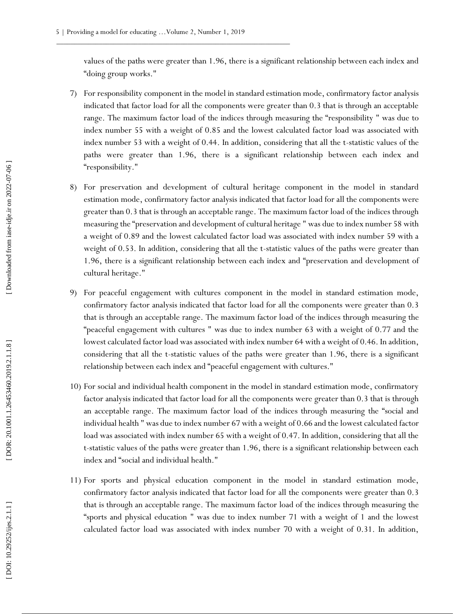values of the paths were greater than 1.96, there is a significant relationship between each index and "doing group works."

- 7 ) For responsibility component in the model in standard estimation mode, confirmatory factor analysis indicated that factor load for all the components were greater than 0.3 that is through an acceptable range. The maximum factor load of the indices through measuring the "responsibility " was due to index number 55 with a weight of 0.85 and the lowest calculated factor load was associated with index number 53 with a weight of 0.44. In addition, considering that all the t -statistic values of the paths were greater than 1.96, there is a significant relationship between each index and "responsibility."
- 8 ) For preservation and development of cultural heritage component in the model in standard estimation mode, confirmatory factor analysis indicated that factor load for all the components were greater than 0.3 that is through an acceptable range. The maximum factor load of the indices through measuring the "preservation and development of cultural heritage " was due to index number 58 with a weight of 0.89 and the lowest calculated factor load was associated with index number 59 with a weight of 0.53. In addition, considering that all the t -statistic values of the paths were greater than 1.96, there is a significant relationship between each index and "preservation and development of cultural heritage."
- 9 ) For peaceful engagement with cultures component in the model in standard estimation mode, confirmatory factor analysis indicated that factor load for all the components were greater than 0.3 that is through an acceptable range. The maximum factor load of the indices through measuring the "peaceful engagement with cultures " was due to index number 63 with a weight of 0.77 and the lowest calculated factor load was associated with index number 64 with a weight of 0.46. In addition, considering that all the t -statistic values of the paths were greater than 1.96, there is a significant relationship between each index and "peaceful engagement with cultures."
- 10 ) For social and individual health component in the model in standard estimation mode, confirmatory factor analysis indicated that factor load for all the components were greater than 0.3 that is through an acceptable range. The maximum factor load of the indices through measuring the "social and individual health " was due to index number 67 with a weight of 0.66 and the lowest calculated factor load was associated with index number 65 with a weight of 0.47. In addition, considering that all the t-statistic values of the paths were greater than 1.96, there is a significant relationship between each index and "social and individual health."
- 11 ) For sports and physical education component in the model in standard estimation mode, confirmatory factor analysis indicated that factor load for all the components were greater than 0.3 that is through an acceptable range. The maximum factor load of the indices through measuring the "sports and physical education " was due to index number 71 with a weight of 1 and the lowest calculated factor load was associated with index number 70 with a weight of 0.31. In addition,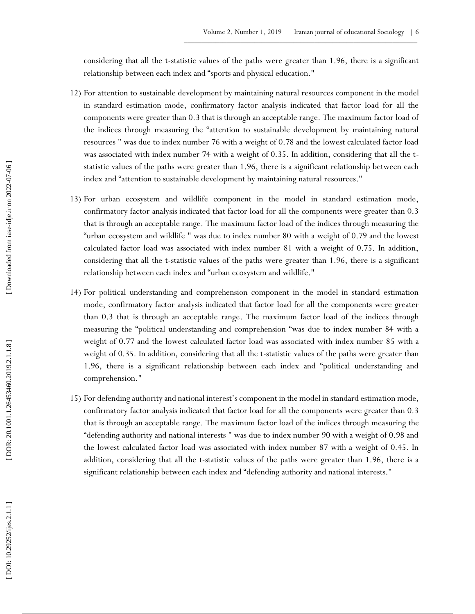considering that all the t -statistic values of the paths were greater than 1.96, there is a significant relationship between each index and "sports and physical education."

- 12 ) For attention to sustainable development by maintaining natural resources component in the model in standard estimation mode, confirmatory factor analysis indicated that factor load for all the components were greater than 0.3 that is through an acceptable range. The maximum factor load of the indices through measuring the "attention to sustainable development by maintaining natural resources " was due to index number 76 with a weight of 0.78 and the lowest calculated factor load was associated with index number 74 with a weight of 0.35. In addition, considering that all the t statistic values of the paths were greater than 1.96, there is a significant relationship between each index and "attention to sustainable development by maintaining natural resources."
- 13 ) For urban ecosystem and wildlife component in the model in standard estimation mode, confirmatory factor analysis indicated that factor load for all the components were greater than 0.3 that is through an acceptable range. The maximum factor load of the indices through measuring the "urban ecosystem and wildlife " was due to index number 80 with a weight of 0.79 and the lowest calculated factor load was associated with index number 81 with a weight of 0.75. In addition, considering that all the t -statistic values of the paths were greater than 1.96, there is a significant relationship between each index and "urban ecosystem and wildlife."
- 14 ) For political understanding and comprehension component in the model in standard estimation mode, confirmatory factor analysis indicated that factor load for all the components were greater than 0.3 that is through an acceptable range. The maximum factor load of the indices through measuring the "political understanding and comprehension "was due to index number 84 with a weight of 0.77 and the lowest calculated factor load was associated with index number 85 with a weight of 0.35. In addition, considering that all the t -statistic values of the paths were greater than 1.96, there is a significant relationship between each index and "political understanding and comprehension."
- 15 ) For defending authority and national interest's component in the model in standard estimation mode, confirmatory factor analysis indicated that factor load for all the components were greater than 0.3 that is through an acceptable range. The maximum factor load of the indices through measuring the "defending authority and national interests " was due to index number 90 with a weight of 0.98 and the lowest calculated factor load was associated with index number 87 with a weight of 0.45. In addition, considering that all the t -statistic values of the paths were greater than 1.96, there is a significant relationship between each index and "defending authority and national interests."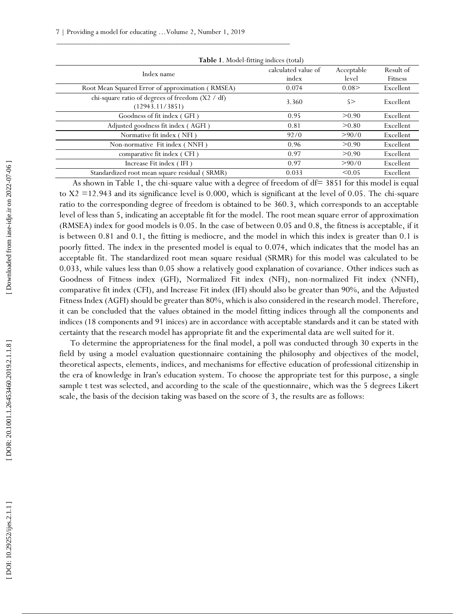| Table 1. Model-fitting indices (total)                              |                              |                     |                      |  |  |  |  |
|---------------------------------------------------------------------|------------------------------|---------------------|----------------------|--|--|--|--|
| Index name                                                          | calculated value of<br>index | Acceptable<br>level | Result of<br>Fitness |  |  |  |  |
| Root Mean Squared Error of approximation (RMSEA)                    | 0.074                        | 0.08                | Excellent            |  |  |  |  |
| chi-square ratio of degrees of freedom (X2 / df)<br>(12943.11/3851) | 3.360                        | 5 >                 | Excellent            |  |  |  |  |
| Goodness of fit index (GFI)                                         | 0.95                         | > 0.90              | Excellent            |  |  |  |  |
| Adjusted goodness fit index (AGFI)                                  | 0.81                         | > 0.80              | Excellent            |  |  |  |  |
| Normative fit index (NFI)                                           | 92/0                         | >90/0               | Excellent            |  |  |  |  |
| Non-normative Fit index (NNFI)                                      | 0.96                         | > 0.90              | Excellent            |  |  |  |  |
| comparative fit index (CFI)                                         | 0.97                         | > 0.90              | Excellent            |  |  |  |  |
| Increase Fit index (IFI)                                            | 0.97                         | >90/0               | Excellent            |  |  |  |  |
| Standardized root mean square residual (SRMR)                       | 0.033                        | < 0.05              | Excellent            |  |  |  |  |

As shown in Table 1, the chi-square value with a degree of freedom of df= 3851 for this model is equal to X2 = 12.943 and its significance level is 0.000, which is significant at the level of 0.05. The chi-square ratio to the corresponding degree of freedom is obtained to be 360.3, which corresponds to an acceptable level of less than 5, indicating an acceptable fit for the model. The root mean square error of approximation (RMSEA) index for good models is 0.05. In the case of between 0.05 and 0.8, the fitness is acceptable, if it is between 0.81 and 0.1, the fitting is mediocre, and the model in which this index is greater than 0.1 is poorly fitted. The index in the presented model is equal to 0.074, which indicates that the model has an acceptable fit. The standardized root mean square residual (SRMR) for this model was calculated to be 0.033, while values less than 0.05 show a relatively good explanation of covariance. Other indices such as Goodness of Fitness index (GFI), Normalized Fit index (NFI), non -normalized Fit index (NNFI), comparative fit index (CFI), and Increase Fit index (IFI) should also be greater than 90%, and the Adjusted Fitness Index (AGFI) should be greater than 80%, which is also considered in the research model. Therefore, it can be concluded that the values obtained in the model fitting indices through all the components and indices (18 components and 91 inices) are in accordance with acceptable standards and it can be stated with certainty that the research model has appropriate fit and the experimental data are well suited for it.

To determine the appropriateness for the final model, a poll was conducted through 30 experts in the field by using a model evaluation questionnaire containing the philosophy and objectives of the model, theoretical aspects, elements, indices, and mechanisms for effective education of professional citizenship in the era of knowledge in Iran's education system. To choose the appropriate test for this purpose, a single sample t test was selected, and according to the scale of the questionnaire, which was the 5 degrees Likert scale, the basis of the decision taking was based on the score of 3, the results are as follows: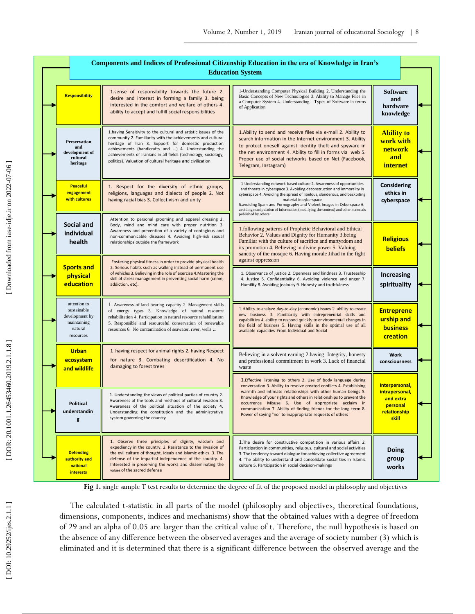|  |  | <b>Components and Indices of Professional Citizenship Education in the era of Knowledge in Iran's</b> |                                                                                                                                                                                                                                                                                                                                                                                |                                                                                                                                                                                                                                                                                                                                                                                                                                                                      |                                                                                    |  |  |
|--|--|-------------------------------------------------------------------------------------------------------|--------------------------------------------------------------------------------------------------------------------------------------------------------------------------------------------------------------------------------------------------------------------------------------------------------------------------------------------------------------------------------|----------------------------------------------------------------------------------------------------------------------------------------------------------------------------------------------------------------------------------------------------------------------------------------------------------------------------------------------------------------------------------------------------------------------------------------------------------------------|------------------------------------------------------------------------------------|--|--|
|  |  | <b>Education System</b>                                                                               |                                                                                                                                                                                                                                                                                                                                                                                |                                                                                                                                                                                                                                                                                                                                                                                                                                                                      |                                                                                    |  |  |
|  |  | <b>Responsibility</b>                                                                                 | 1.sense of responsibility towards the future 2.<br>desire and interest in forming a family 3. being<br>interested in the comfort and welfare of others 4.<br>ability to accept and fulfill social responsibilities                                                                                                                                                             | 1-Understanding Computer Physical Building 2. Understanding the<br>Basic Concepts of New Technologies 3. Ability to Manage Files in<br>a Computer System 4. Understanding Types of Software in terms<br>of Application                                                                                                                                                                                                                                               | <b>Software</b><br>and<br>hardware<br>knowledge                                    |  |  |
|  |  | <b>Preservation</b><br>and<br>development of<br>cultural<br>heritage                                  | 1. having Sensitivity to the cultural and artistic issues of the<br>community 2. Familiarity with the achievements and cultural<br>heritage of Iran 3. Support for domestic production<br>achievements (handicrafts and ) 4. Understanding the<br>achievements of Iranians in all fields (technology, sociology,<br>politics). Valuation of cultural heritage and civilization | 1. Ability to send and receive files via e-mail 2. Ability to<br>search information in the Internet environment 3. Ability<br>to protect oneself against identity theft and spyware in<br>the net environment 4. Ability to fill in forms via web 5.<br>Proper use of social networks based on Net (Facebook,<br>Telegram, Instagram)                                                                                                                                | <b>Ability to</b><br>work with<br><b>network</b><br>and<br><i>internet</i>         |  |  |
|  |  | <b>Peaceful</b><br>engagement<br>with cultures                                                        | 1. Respect for the diversity of ethnic groups,<br>religions, languages and dialects of people 2. Not<br>having racial bias 3. Collectivism and unity                                                                                                                                                                                                                           | 1-Understanding network-based culture 2. Awareness of opportunities<br>and threats in cyberspace 3. Avoiding deconstruction and immorality in<br>cyberspace 4. Avoiding the spread of libelous, slanderous, and backbiting<br>material in cyberspace<br>5. avoiding Spam and Pornography and Violent Images in Cyberspace 6.<br>avoiding manipulation of information (modifying the content) and other materials<br>published by others                              | Considering<br>ethics in<br>cyberspace                                             |  |  |
|  |  | Social and<br>individual<br>health                                                                    | Attention to personal grooming and apparel dressing 2.<br>Body, mind and mind care with proper nutrition 3.<br>Awareness and prevention of a variety of contagious and<br>non-communicable diseases 4. Avoiding high-risk sexual<br>relationships outside the framework                                                                                                        | 1.following patterns of Prophetic Behavioral and Ethical<br>Behavior 2. Values and Dignity for Humanity 3.being<br>Familiar with the culture of sacrifice and martyrdom and<br>its promotion 4. Believing in divine power 5. Valuing<br>sanctity of the mosque 6. Having morale Jihad in the fight                                                                                                                                                                   | <b>Religious</b><br><b>beliefs</b>                                                 |  |  |
|  |  | <b>Sports and</b><br>physical<br>education                                                            | Fostering physical fitness in order to provide physical health<br>2. Serious habits such as walking instead of permanent use<br>of vehicles 3. Believing in the role of exercise 4. Mastering the<br>skill of stress management in preventing social harm (crime,<br>addiction, etc).                                                                                          | against oppression<br>1. Observance of justice 2. Openness and kindness 3. Trusteeship<br>4. Justice 5. Confidentiality 6. Avoiding violence and anger 7.<br>Humility 8. Avoiding jealousy 9. Honesty and truthfulness                                                                                                                                                                                                                                               | <b>Increasing</b><br>spirituality                                                  |  |  |
|  |  | attention to<br>sustainable<br>development by<br>maintaining<br>natural<br>resources                  | 1. Awareness of land bearing capacity 2. Management skills<br>of energy types 3. Knowledge of natural resource<br>rehabilitation 4. Participation in natural resource rehabilitation<br>5. Responsible and resourceful conservation of renewable<br>resources 6. No contamination of seawater, river, wells                                                                    | 1. Ability to analyze day-to-day (economic) issues 2. ability to create<br>new business 3. Familiarity with entrepreneurial skills and<br>capabilities 4. ability to respond quickly to environmental changes in<br>the field of business 5. Having skills in the optimal use of all<br>available capacities From Individual and Social                                                                                                                              | <b>Entreprene</b><br>urship and<br><b>business</b><br>creation                     |  |  |
|  |  | <b>Urban</b><br>ecosystem<br>and wildlife                                                             | 1 having respect for animal rights 2. having Respect<br>for nature 3. Combating desertification 4. No<br>damaging to forest trees                                                                                                                                                                                                                                              | Believing in a solvent earning 2. having Integrity, honesty<br>and professional commitment in work 3. Lack of financial<br>waste                                                                                                                                                                                                                                                                                                                                     | Work<br>consciousness                                                              |  |  |
|  |  | Political<br>understandin<br>g                                                                        | 1. Understanding the views of political parties of country 2.<br>Awareness of the tools and methods of cultural invasion 3.<br>Awareness of the political situation of the society 4.<br>Understanding the constitution and the administrative<br>system governing the country                                                                                                 | 1. Effective listening to others 2. Use of body language during<br>conversation 3. Ability to resolve created conflicts 4. Establishing<br>warmth and intimate relationships with other human beings 5.<br>Knowledge of your rights and others in relationships to prevent the<br>occurrence Misuse 6. Use of appropriate acclaim in<br>communication 7. Ability of finding friends for the long term 8.<br>Power of saying "no" to inappropriate requests of others | Interpersonal,<br>intrapersonal,<br>and extra<br>personal<br>relationship<br>skill |  |  |
|  |  | <b>Defending</b><br>authority and<br>national<br><b>interests</b>                                     | 1. Observe three principles of dignity, wisdom and<br>expediency in the country. 2. Resistance to the invasion of<br>the evil culture of thought, ideals and Islamic ethics. 3. The<br>defense of the impartial independence of the country. 4.<br>Interested in preserving the works and disseminating the<br>values of the sacred defense                                    | 1. The desire for constructive competition in various affairs 2.<br>Participation in communities, religious, cultural and social activities<br>3. The tendency toward dialogue for achieving collective agreement<br>4. The ability to understand and consolidate social ties in Islamic<br>culture 5. Participation in social decision-makings                                                                                                                      | Doing<br>group<br>works                                                            |  |  |

**Fig 1.** single sample T test results to determine the degree of fit of the proposed model in philosophy and objectives

The calculated t -statistic in all parts of the model (philosophy and objectives, theoretical foundations, dimensions, components, indices and mechanisms) show that the obtained values with a degree of freedom of 29 and an alpha of 0.05 are larger than the critical value of t. Therefore, the null hypothesis is based on the absence of any difference between the observed averages and the average of society number (3) which is eliminated and it is determined that there is a significant difference between the observed average and the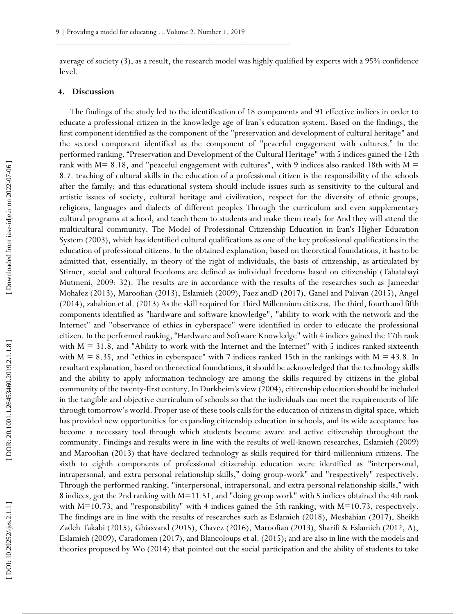average of society (3), as a result, the research model was highly qualified by experts with a 95% confidence level.

## **4. Discussion**

The findings of the study led to the identification of 18 components and 91 effective indices in order to educate a professional citizen in the knowledge age of Iran's education system. Based on the findings, the first component identified as the component of the "preservation and development of cultural heritage" and the second component identified as the component of "peaceful engagement with cultures." In the performed ranking, "Preservation and Development of the Cultural Heritage" with 5 indices gained the 12th rank with  $M= 8.18$ , and "peaceful engagement with cultures", with 9 indices also ranked 18th with  $M =$ 8.7. teaching of cultural skills in the education of a professional citizen is the responsibility of the schools after the family; and this educational system should include issues such as sensitivity to the cultural and artistic issues of society, cultural heritage and civilization, respect for the diversity of ethnic groups, religions, languages and dialects of different peoples Through the curriculum and even supplementary cultural programs at school, and teach them to students and make them ready for And they will attend the multicultural community. The Model of Professional Citizenship Education in Iran's Higher Education System (2003), which has identified cultural qualifications as one of the key professional qualifications in the education of professional citizens. In the obtained explanation, based on theoretical foundations, it has to be admitted that, essentially, in theory of the right of individuals, the basis of citizenship, as articulated by Stirner, social and cultural freedoms are defined as individual freedoms based on citizenship (Tabatabayi Mutmeni, 2009: 32). The results are in accordance with the results of the researches such as Jameedar Mohafez (2013), Maroofian (2013), Eslamieh (2009), Faez andD (2017), Ganel and Palivan (2015), Angel (2014), zahabion et al. (2013) As the skill required for Third Millennium citizens. The third, fourth and fifth components identified as "hardware and software knowledge", "ability to work with the network and the Internet" and "observance of ethics in cyberspace" were identified in order to educate the professional citizen. In the performed ranking, "Hardware and Software Knowledge" with 4 indices gained the 17th rank with  $M = 31.8$ , and "Ability to work with the Internet and the Internet" with 5 indices ranked sixteenth with  $M = 8.35$ , and "ethics in cyberspace" with 7 indices ranked 15th in the rankings with  $M = 43.8$ . In resultant explanation, based on theoretical foundations, it should be acknowledged that the technology skills and the ability to apply information technology are among the skills required by citizens in the global community of the twenty -first century. In Durkheim's view (2004), citizenship education should be included in the tangible and objective curriculum of schools so that the individuals can meet the requirements of life through tomorrow's world. Proper use of these tools calls for the education of citizens in digital space, which has provided new opportunities for expanding citizenship education in schools, and its wide acceptance has become a necessary tool through which students become aware and active citizenship throughout the community. Findings and results were in line with the results of well -known researches, Eslamieh (2009) and Maroofian (2013) that have declared technology as skills required for third -millennium citizens. The sixth to eighth components of professional citizenship education were identified as "interpersonal, intrapersonal, and extra personal relationship skills," doing group -work" and "respectively" respectively. Through the performed ranking, "interpersonal, intrapersonal, and extra personal relationship skills," with 8 indices, got the 2nd ranking with M=11.51, and "doing group work" with 5 indices obtained the 4th rank with M=10.73, and "responsibility" with 4 indices gained the 5th ranking, with M=10.73, respectively. The findings are in line with the results of researches such as Eslamieh (2018), Mesbahian (2017), Sheikh Zadeh Takabi (2015), Ghiasvand (2015), Chavez (2016), Maroofian (2013), Sharifi & Eslamieh (2012, A), Eslamieh (2009), Caradomen (2017), and Blancoloups et al. (2015); and are also in line with the models and theories proposed by Wo (2014) that pointed out the social participation and the ability of students to take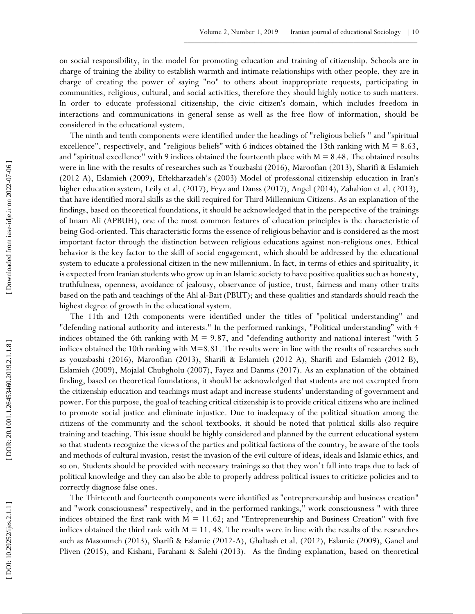on social responsibility, in the model for promoting education and training of citizenship. Schools are in charge of training the ability to establish warmth and intimate relationships with other people, they are in charge of creating the power of saying "no" to others about inappropriate requests, participating in communities, religious, cultural, and social activities, therefore they should highly notice to such matters. In order to educate professional citizenship, the civic citizen's domain, which includes freedom in interactions and communications in general sense as well as the free flow of information, should be considered in the educational system.

The ninth and tenth components were identified under the headings of "religious beliefs " and "spiritual excellence", respectively, and "religious beliefs" with 6 indices obtained the 13th ranking with  $M = 8.63$ , and "spiritual excellence" with 9 indices obtained the fourteenth place with  $M = 8.48$ . The obtained results were in line with the results of researches such as Youzbashi (2016), Maroofian (2013), Sharifi & Eslamieh (2012 A), Eslamieh (2009), Eftekharzadeh's (2003) Model of professional citizenship education in Iran's higher education system, Leily et al. (2017), Feyz and Danss (2017), Angel (2014), Zahabion et al. (2013), that have identified moral skills as the skill required for Third Millennium Citizens. As an explanation of the findings, based on theoretical foundations, it should be acknowledged that in the perspective of the trainings of Imam Ali (APBUH), one of the most common features of education principles is the characteristic of being God -oriented. This characteristic forms the essence of religious behavior and is considered as the most important factor through the distinction between religious educations against non -religious ones. Ethical behavior is the key factor to the skill of social engagement, which should be addressed by the educational system to educate a professional citizen in the new millennium. In fact, in terms of ethics and spirituality, it is expected from Iranian students who grow up in an Islamic society to have positive qualities such as honesty, truthfulness, openness, avoidance of jealousy, observance of justice, trust, fairness and many other traits based on the path and teachings of the Ahl al -Bait (PBUT); and these qualities and standards should reach the highest degree of growth in the educational system.

The 11th and 12th components were identified under the titles of "political understanding" and "defending national authority and interests." In the performed rankings, "Political understanding" with 4 indices obtained the 6th ranking with  $M = 9.87$ , and "defending authority and national interest "with 5 indices obtained the 10th ranking with M=8.81. The results were in line with the results of researches such as youzsbashi (2016), Maroofian (2013), Sharifi & Eslamieh (2012 A), Sharifi and Eslamieh (2012 B), Eslamieh (2009), Mojalal Chubgholu (2007), Fayez and Danms (2017). As an explanation of the obtained finding, based on theoretical foundations, it should be acknowledged that students are not exempted from the citizenship education and teachings must adapt and increase students' understanding of government and power. For this purpose, the goal of teaching critical citizenship is to provide critical citizens who are inclined to promote social justice and eliminate injustice. Due to inadequacy of the political situation among the citizens of the community and the school textbooks, it should be noted that political skills also require training and teaching. This issue should be highly considered and planned by the current educational system so that students recognize the views of the parties and political factions of the country, be aware of the tools and methods of cultural invasion, resist the invasion of the evil culture of ideas, ideals and Islamic ethics, and so on. Students should be provided with necessary trainings so that they won't fall into traps due to lack of political knowledge and they can also be able to properly address political issues to criticize policies and to correctly diagnose false ones.

The Thirteenth and fourteenth components were identified as "entrepreneurship and business creation" and "work consciousness" respectively, and in the performed rankings," work consciousness " with three indices obtained the first rank with  $M = 11.62$ ; and "Entrepreneurship and Business Creation" with five indices obtained the third rank with  $M = 11$ . 48. The results were in line with the results of the researches such as Masoumeh (2013), Sharifi & Eslamie (2012 -A), Ghaltash et al. (2012), Eslamie (2009), Ganel and Pliven (2015), and Kishani, Farahani & Salehi (2013). As the finding explanation, based on theoretical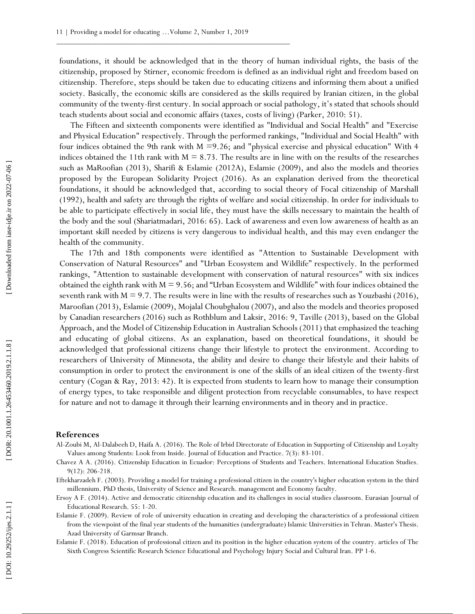foundations, it should be acknowledged that in the theory of human individual rights, the basis of the citizenship, proposed by Stirner, economic freedom is defined as an individual right and freedom based on citizenship. Therefore, steps should be taken due to educating citizens and informing them about a unified society. Basically, the economic skills are considered as the skills required by Iranian citizen, in the global community of the twenty -first century. In social approach or social pathology, it's stated that schools should teach students about social and economic affairs (taxes, costs of living) (Parker, 2010: 51).

The Fifteen and sixteenth components were identified as "Individual and Social Health" and "Exercise and Physical Education" respectively. Through the performed rankings, "Individual and Social Health" with four indices obtained the 9th rank with  $M = 9.26$ ; and "physical exercise and physical education" With 4 indices obtained the 11th rank with  $M = 8.73$ . The results are in line with on the results of the researches such as MaRoofian (2013), Sharifi & Eslamie (2012A), Eslamie (2009), and also the models and theories proposed by the European Solidarity Project (2016). As an explanation derived from the theoretical foundations, it should be acknowledged that, according to social theory of Focal citizenship of Marshall (1992), health and safety are through the rights of welfare and social citizenship. In order for individuals to be able to participate effectively in social life, they must have the skills necessary to maintain the health of the body and the soul (Shariatmadari, 2016: 65). Lack of awareness and even low awareness of health as an important skill needed by citizens is very dangerous to individual health, and this may even endanger the health of the community.

The 17th and 18th components were identified as "Attention to Sustainable Development with Conservation of Natural Resources" and "Urban Ecosystem and Wildlife" respectively. In the performed rankings, "Attention to sustainable development with conservation of natural resources" with six indices obtained the eighth rank with M = 9.56; and "Urban Ecosystem and Wildlife" with four indices obtained the seventh rank with  $M = 9.7$ . The results were in line with the results of researches such as Youzbashi (2016), Maroofian (2013), Eslamie (2009), Mojalal Choubghalou (2007), and also the models and theories proposed by Canadian researchers (2016) such as Rothblum and Laksir, 2016: 9, Taville (2013), based on the Global Approach, and the Model of Citizenship Education in Australian Schools (2011) that emphasized the teaching and educating of global citizens. As an explanation, based on theoretical foundations, it should be acknowledged that professional citizens change their lifestyle to protect the environment. According to researchers of University of Minnesota, the ability and desire to change their lifestyle and their habits of consumption in order to protect the environment is one of the skills of an ideal citizen of the twenty -first century (Cogan & Ray, 2013: 42). It is expected from students to learn how to manage their consumption of energy types, to take responsible and diligent protection from recyclable consumables, to have respect for nature and not to damage it through their learning environments and in theory and in practice. stach as Matholian (2013). Sharing All the intermediation is the simulation of the strength and the simulations in should be actually Project (2015). As an explanation derived from the simulations in should be actually pr

## **References**

- Al -Zoubi M , Al -Dalabeeh D , Haifa A. (2016). The Role of Irbid Directorate of Education in Supporting of Citizenship and Loyalty Values among Students: Look from Inside. Journal of Education and Practice. 7(3): 83 -101.
- Chavez A A. (2016). Citizenship Education in Ecuador: Perceptions of Students and Teachers. International Education Studies. 9(12): 206 -218.
- Eftekharzadeh F. (2003). Providing a model for training a professional citizen in the country's higher education system in the third millennium. PhD thesis, University of Science and Research. management and Economy faculty.
- Ersoy A F. (2014). Active and democratic citizenship education and its challenges in social studies classroom. Eurasian Journal of Educational Research. 55: 1 -20.
- Eslamie F. (2009). Review of role of university education in creating and developing the characteristics of a professional citizen from the viewpoint of the final year students of the humanities (undergraduate) Islamic Universities in Tehran. Master's Thesis. Azad University of Garmsar Branch.
- Eslamie F. (2018). Education of professional citizen and its position in the higher education system of the country. articles of The Sixth Congress Scientific Research Science Educational and Psychology Injury Social and Cultural Iran. PP 1 -